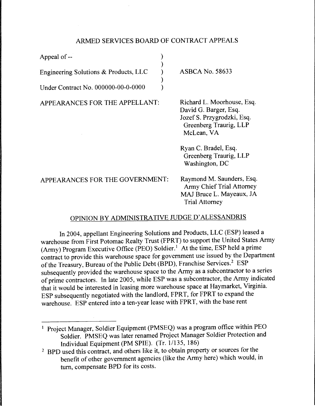### ARMED SERVICES BOARD OF CONTRACT APPEALS

) )  $\lambda$ ) )

Appeal of --

Engineering Solutions & Products, LLC

Under Contract No. 000000-00-0-0000

APPEARANCES FOR THE APPELLANT:

ASBCA No. 58633

Richard L. Moorhouse, Esq. David G. Barger, Esq. JozefS. Przygrodzki, Esq. Greenberg Traurig, LLP McLean, VA

Ryan C. Bradel, Esq. Greenberg Traurig, LLP Washington, DC

APPEARANCES FOR THE GOVERNMENT:

Raymond M. Saunders, Esq. Army Chief Trial Attorney MAJ Bruce L. Mayeaux, JA Trial Attorney

# OPINION BY ADMINISTRATIVE JUDGE D' ALESSANDRIS

In 2004, appellant Engineering Solutions and Products, LLC (ESP) leased a warehouse from First Potomac Realty Trust (FPRT) to support the United States Army (Army) Program Executive Office (PEO) Soldier.<sup>1</sup> At the time, ESP held a prime contract to provide this warehouse space for government use issued by the Department of the Treasury, Bureau of the Public Debt (BPD), Franchise Services.2 ESP subsequently provided the warehouse space to the Army as a subcontractor to a series of prime contractors. In late 2005, while ESP was a subcontractor, the Army indicated that it would be interested in leasing more warehouse space at Haymarket, Virginia. ESP subsequently negotiated with the landlord, FPRT, for FPRT to expand the warehouse. ESP entered into a ten-year lease with FPRT, with the base rent

<sup>&</sup>lt;sup>1</sup> Project Manager, Soldier Equipment (PMSEQ) was a program office within PEO Soldier. PMSEQ was later renamed Project Manager Soldier Protection and Individual Equipment (PM SPIE). (Tr. 1/135, 186)

<sup>&</sup>lt;sup>2</sup> BPD used this contract, and others like it, to obtain property or sources for the benefit of other government agencies (like the Army here) which would, in tum, compensate BPD for its costs.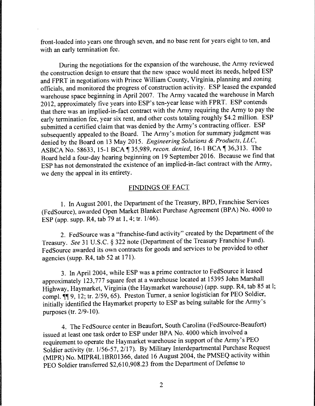front-loaded into years one through seven, and no base rent for years eight to ten, and with an early termination fee.

During the negotiations for the expansion of the warehouse, the Army reviewed the construction design to ensure that the new space would meet its needs, helped ESP and FPRT in negotiations with Prince William County, Virginia, planning and zoning officials, and monitored the progress of construction activity. ESP leased the expanded warehouse space beginning in April 2007. The Army vacated the warehouse in March 2012, approximately five years into ESP's ten-year lease with FPRT. ESP contends that there was an implied-in-fact contract with the Army requiring the Army to pay the early termination fee, year six rent, and other costs totaling roughly \$4.2 million. ESP submitted a certified claim that was denied by the Army's contracting officer. ESP subsequently appealed to the Board. The Army's motion for summary judgment was denied by the Board on 13 May 2015. *Engineering Solutions* & *Products, LLC,*  ASBCA No. 58633, 15-1 BCA<sup>1</sup>35,989, *recon. denied*, 16-1 BCA<sup>1</sup>36,313. The Board held a four-day hearing beginning on 19 September 2016. Because we find that ESP has not demonstrated the existence of an implied-in-fact contract with the Army, we deny the appeal in its entirety.

### FINDINGS OF FACT

1. In August 2001, the Department of the Treasury, BPD, Franchise Services (FedSource), awarded Open Market Blanket Purchase Agreement (BPA) No. 4000 to ESP (app. supp. R4, tab 79 at 1, 4; tr. 1/46).

2. FedSource was a "franchise-fund activity" created by the Department of the Treasury. *See* 31 U.S.C. § 322 note (Department of the Treasury Franchise Fund). FedSource awarded its own contracts for goods and services to be provided to other agencies (supp. R4, tab 52 at 171).

3. In April 2004, while ESP was a prime contractor to FedSource it leased approximately 123,777 square feet at a warehouse located at 15395 John Marshall Highway, Haymarket, Virginia (the Haymarket warehouse) (app. supp. R4, tab 85 at l; compl.  $\P$  9, 12; tr. 2/59, 65). Preston Turner, a senior logistician for PEO Soldier, initially identified the Haymarket property to ESP as being suitable for the Army's purposes (tr. 2/9-10).

4. The FedSource center in Beaufort, South Carolina (FedSource-Beaufort) issued at least one task order to ESP under BPA No. 4000 which involved a requirement to operate the Haymarket warehouse in support of the Army's PEO Soldier activity (tr. 1/56-57, 2/17). By Military Interdepartmental Purchase Request (MIPR) No. MIPR4LlBR01366, dated 16 August 2004, the PMSEQ activity within PEO Soldier transferred \$2,610,908.23 from the Department of Defense to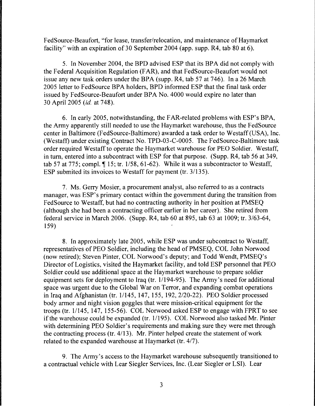FedSource-Beaufort, "for lease, transfer/relocation, and maintenance of Haymarket facility" with an expiration of 30 September 2004 (app. supp. R4, tab 80 at 6).

5. In November 2004, the BPD advised ESP that its BPA did not comply with the Federal Acquisition Regulation (FAR), and that FedSource-Beaufort would not issue any new task orders under the BPA (supp. R4, tab 57 at 746). In a 26 March 2005 letter to FedSource BPA holders, BPD informed ESP that the final task order issued by FedSource-Beaufort under BPA No. 4000 would expire no later than 30 April 2005 *(id.* at 748).

6. In early 2005, notwithstanding, the FAR-related problems with ESP's BPA, the Army apparently still needed to use the Haymarket warehouse, thus the FedSource center in Baltimore (FedSource-Baltimore) awarded a task order to Westaff (USA), Inc. (Westaff) under existing Contract No. TPD-03-C-0005. The FedSource-Baltimore task order required Westaff to operate the Haymarket warehouse for PEO Soldier. Westaff, in turn, entered into a subcontract with ESP for that purpose. (Supp. R4, tab 56 at 349, tab 57 at 775; compl.  $\P$  15; tr. 1/58, 61-62). While it was a subcontractor to Westaff, ESP submited its invoices to Westaff for payment (tr. 3/135).

7. Ms. Gerry Mosier, a procurement analyst, also referred to as a contracts manager, was ESP's primary contact within the government during the transition from FedSource to Westaff, but had no contracting authority in her position at PMSEQ (although she had been a contracting officer earlier in her career). She retired from federal service in March 2006. (Supp. R4, tab 60 at 895, tab 63 at 1009; tr. 3/63-64, 159)

8. In approximately late 2005, while ESP was under subcontract to Westaff, representatives of PEO Soldier, including the head of PMSEQ, COL John Norwood (now retired); Steven Pinter, COL Norwood's deputy; and Todd Wendt, PMSEQ's Director of Logistics, visited the Haymarket facility, and told ESP personnel that PEO Soldier could use additional space at the Haymarket warehouse to prepare soldier equipment sets for deployment to Iraq (tr. 1/194-95). The Army's need for additional space was urgent due to the Global War on Terror, and expanding combat operations in Iraq and Afghanistan (tr. 1/145, 147, 155, 192, 2/20-22). PEO Soldier processed body armor and night vision goggles that were mission-critical equipment for the troops (tr. 11145, 147, 155-56). COL Norwood asked ESP to engage with FPRT to see if the warehouse could be expanded (tr. 1/195). COL Norwood also tasked Mr. Pinter with determining PEO Soldier's requirements and making sure they were met through the contracting process (tr. 4/13). Mr. Pinter helped create the statement of work related to the expanded warehouse at Haymarket (tr. 4/7).

9. The Army's access to the Haymarket warehouse subsequently transitioned to a contractual vehicle with Lear Siegler Services, Inc. (Lear Siegler or LSI). Lear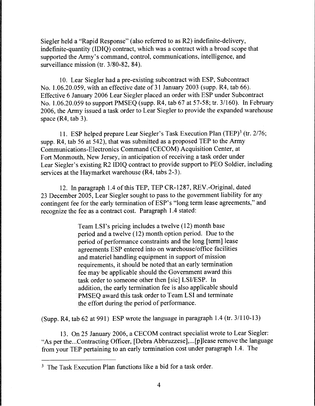Siegler held a "Rapid Response" (also referred to as R2) indefinite-delivery, indefinite-quantity (IDIQ) contract, which was a contract with a broad scope that supported the Army's command, control, communications, intelligence, and surveillance mission (tr. 3/80-82, 84).

10. Lear Siegler had a pre-existing subcontract with ESP, Subcontract No. 1.06.20.059, with an effective date of 31 January 2003 (supp. R4, tab 66). Effective 6 January 2006 Lear Siegler placed an order with ESP under Subcontract No. 1.06.20.059 to support PMSEQ (supp. R4, tab 67 at 57-58; tr. 3/160). In February 2006, the Army issued a task order to Lear Siegler to provide the expanded warehouse space (R4, tab 3).

11. ESP helped prepare Lear Siegler's Task Execution Plan (TEP)<sup>3</sup> (tr. 2/76; supp. R4, tab 56 at 542), that was submitted as a proposed TEP to the Army Communications-Electronics Command (CECOM) Acquisition Center, at Fort Monmouth, New Jersey, in anticipation of receiving a task order under Lear Siegler's existing R2 IDIQ contract to provide support to PEO Soldier, including services at the Haymarket warehouse (R4, tabs 2-3).

12. In paragraph 1.4 of this TEP, TEP CR-1287, REV.-Original, dated 23 December 2005, Lear Siegler sought to pass to the government liability for any contingent fee for the early termination of ESP's "long term lease agreements," and recognize the fee as a contract cost. Paragraph 1.4 stated:

> Team LSI's pricing includes a twelve (12) month base period and a twelve (12) month option period. Due to the period of performance constraints and the long [term] lease agreements ESP entered into on warehouse/office facilities and materiel handling equipment in support of mission requirements, it should be noted that an early termination fee may be applicable should the Government award this task order to someone other then [sic] LSI/ESP. In addition, the early termination fee is also applicable should PMSEQ award this task order to Team LSI and terminate the effort during the period of performance.

(Supp. R4, tab 62 at 991) ESP wrote the language in paragraph 1.4 (tr. 3/110-13)

13. On 25 January 2006, a CECOM contract specialist wrote to Lear Siegler: "As per the... Contracting Officer, [Debra Abbruzzese],...[p]lease remove the language from your TEP pertaining to an early termination cost under paragraph 1.4. The

<sup>&</sup>lt;sup>3</sup> The Task Execution Plan functions like a bid for a task order.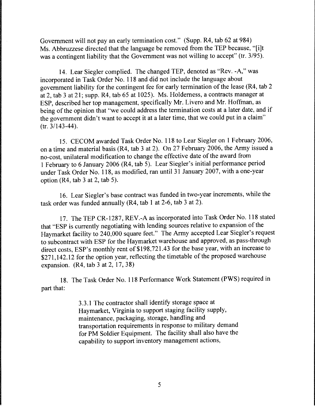Government will not pay an early termination cost." (Supp. R4, tab 62 at 984) Ms. Abbruzzese directed that the language be removed from the TEP because, "[i]t was a contingent liability that the Government was not willing to accept" (tr. 3/95).

14. Lear Siegler complied. The changed TEP, denoted as "Rev. -A," was incorporated in Task Order No. 118 and did not include the language about government liability for the contingent fee for early termination of the lease (R4, tab 2 at 2, tab 3 at 21; supp. R4, tab 65 at 1025). Ms. Holderness, a contracts manager at ESP, described her top management, specifically Mr. Livero and Mr. Hoffman, as being of the opinion that "we could address the termination costs at a later date, and if the government didn't want to accept it at a later time, that we could put in a claim" (tr. 3/143-44).

15. CECOM awarded Task Order No. 118 to Lear Siegler on 1February2006, on a time and material basis (R4, tab 3 at 2). On 27 February 2006, the Army issued a no-cost, unilateral modification to change the effective date of the award from 1 February to 6 January 2006 (R4, tab 5). Lear Siegler's initial performance period under Task Order No. 118, as modified, ran until 31 January 2007, with a one-year option (R4, tab 3 at 2, tab 5).

16. Lear Siegler's base contract was funded in two-year increments, while the task order was funded annually (R4, tab 1 at 2-6, tab 3 at 2).

17. The TEP CR-1287, REV.-A as incorporated into Task Order No. 118 stated that "ESP is currently negotiating with lending sources relative to expansion of the Haymarket facility to 240,000 square feet." The Army accepted Lear Siegler's request to subcontract with ESP for the Haymarket warehouse and approved, as pass-through direct costs, ESP's monthly rent of \$198,721.43 for the base year, with an increase to \$271,142.12 for the option year, reflecting the timetable of the proposed warehouse expansion. (R4, tab 3 at 2, 17, 38)

18. The Task Order No. 118 Performance Work Statement (PWS) required in part that:

> 3 .3 .1 The contractor shall identify storage space at Haymarket, Virginia to support staging facility supply, maintenance, packaging, storage, handling and transportation requirements in response to military demand for PM Soldier Equipment. The facility shall also have the capability to support inventory management actions,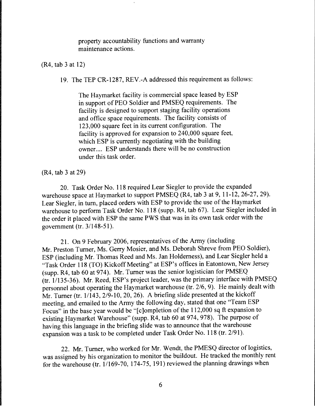property accountability functions and warranty maintenance actions.

(R4, tab 3 at 12)

19. The TEP CR-1287, REV.-A addressed this requirement as follows:

The Haymarket facility is commercial space leased by ESP in support of PEO Soldier and PMSEQ requirements. The facility is designed to support staging facility operations and office space requirements. The facility consists of 123,000 square feet in its current configuration. The facility is approved for expansion to 240,000 square feet, which ESP is currently negotiating with the building owner.... ESP understands there will be no construction under this task order.

(R4, tab 3 at 29)

20. Task Order No. 118 required Lear Siegler to provide the expanded warehouse space at Haymarket to support PMSEQ (R4, tab 3 at 9, 11-12, 26-27, 29). Lear Siegler, in tum, placed orders with ESP to provide the use of the Haymarket warehouse to perform Task Order No. 118 (supp. R4, tab 67). Lear Siegler included in the order it placed with ESP the same PWS that was in its own task order with the government (tr.  $3/148-51$ ).

21. On 9 February 2006, representatives of the Army (including Mr. Preston Turner, Ms. Gerry Mosier, and Ms. Deborah Shreve from PEO Soldier), ESP (including Mr. Thomas Reed and Ms. Jan Holderness), and Lear Siegler held a "Task Order 118 (TO) Kickoff Meeting" at ESP's offices in Eatontown, New Jersey (supp. R4, tab 60 at 974). Mr. Turner was the senior logistician for PMSEQ (tr. 1/135-36). Mr. Reed, ESP's project leader, was the primary interface with PMSEQ personnel about operating the Haymarket warehouse (tr. 2/6, 9). He mainly dealt with Mr. Turner (tr. 1/143, 2/9-10, 20, 26). A briefing slide presented at the kickoff meeting, and emailed to the Army the following day, stated that one "Team ESP Focus" in the base year would be "[c]ompletion of the 112,000 sq ft expansion to existing Haymarket Warehouse" (supp. R4, tab 60 at 974, 978). The purpose of having this language in the briefing slide was to announce that the warehouse expansion was a task to be completed under Task Order No. 118 (tr. 2/91).

22. Mr. Turner, who worked for Mr. Wendt, the PMESQ director of logistics, was assigned by his organization to monitor the buildout. He tracked the monthly rent for the warehouse (tr. 1/169-70, 174-75, 191) reviewed the planning drawings when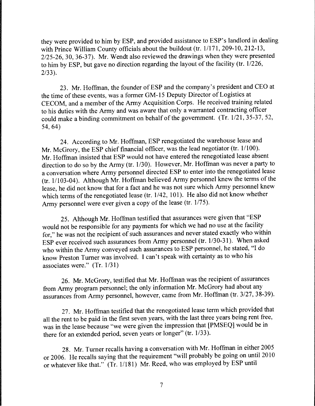they were provided to him by ESP, and provided assistance to ESP's landlord in dealing with Prince William County officials about the buildout (tr. 1/171, 209-10, 212-13, 2/25-26, 30, 36-37). Mr. Wendt also reviewed the drawings when they were presented to him by ESP, but gave no direction regarding the layout of the facility (tr.  $1/226$ , 2/33).

23. Mr. Hoffman, the founder of ESP and the company's president and CEO at the time of these events, was a former GM-15 Deputy Director of Logistics at CECOM, and a member of the Army Acquisition Corps. He received training related to his duties with the Army and was aware that only a warranted contracting officer could make a binding commitment on behalf of the government. (Tr.  $1/21$ ,  $35-37$ , 52, 54,64)

24. According to Mr. Hoffman, ESP renegotiated the warehouse lease and Mr. McGrory, the ESP chief financial officer, was the lead negotiator (tr.  $1/100$ ). Mr. Hoffman insisted that ESP would not have entered the renegotiated lease absent direction to do so by the Army (tr. 1/30). However, Mr. Hoffman was never a party to a conversation where Army personnel directed ESP to enter into the renegotiated lease (tr. 11103-04). Although Mr. Hoffman believed Army personnel knew the terms of the lease, he did not know that for a fact and he was not sure which Army personnel knew which terms of the renegotiated lease (tr.  $1/42$ ,  $101$ ). He also did not know whether Army personnel were ever given a copy of the lease (tr.  $1/75$ ).

25. Although Mr. Hoffman testified that assurances were given that "ESP would not be responsible for any payments for which we had no use at the facility for," he was not the recipient of such assurances and never stated exactly who within ESP ever received such assurances from Army personnel (tr. 1/30-31). When asked who within the Army conveyed such assurances to ESP personnel, he stated, "I do know Preston Turner was involved. I can't speak with certainty as to who his associates were." (Tr. 1/31)

26. Mr. McGrory, testified that Mr. Hoffman was the recipient of assurances from Army program personnel; the only information Mr. McGrory had about any assurances from Army personnel, however, came from Mr. Hoffman (tr. 3/27, 38-39).

27. Mr. Hoffman testified that the renegotiated lease term which provided that all the rent to be paid in the first seven years, with the last three years being rent free, was in the lease because "we were given the impression that [PMSEQ] would be in there for an extended period, seven years or longer" (tr. 1/33).

28. Mr. Turner recalls having a conversation with Mr. Hoffman in either 2005 or 2006. He recalls saying that the requirement "will probably be going on until 2010 or whatever like that." (Tr. 11181) Mr. Reed, who was employed by ESP until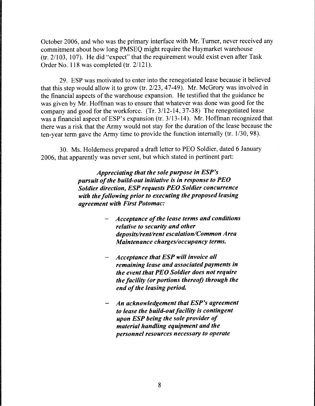October 2006, and who was the primary interface with Mr. Turner, never received any commitment about how long PMSEQ might require the Haymarket warehouse  $(tr. 2/103, 107)$ . He did "expect" that the requirement would exist even after Task Order No. 118 was completed (tr. 2/121).

29. ESP was motivated to enter into the renegotiated lease because it believed that this step would allow it to grow (tr. 2/23, 47-49). Mr. McGrory was involved in the financial aspects of the warehouse expansion. He testified that the guidance he was given by Mr. Hoffman was to ensure that whatever was done was good for the company and good for the workforce. (Tr. 3/12-14, 37-38) The renegotiated lease was a financial aspect of ESP's expansion (tr.  $3/13-14$ ). Mr. Hoffman recognized that there was a risk that the Army would not stay for the duration of the lease because the ten-year term gave the Army time to provide the function internally (tr. 1/30, 98).

30. Ms. Holderness prepared a draft letter to PEO Soldier, dated 6 January 2006, that apparently was never sent, but which stated in pertinent part:

> *Appreciating that the sole purpose in ESP's pursuit of the build-out initiative is in response to PEO Soldier direction, ESP requests PEO Soldier concurrence with the following prior to executing the proposed leasing agreement with First Potomac:*

- *Acceptance of the lease terms and conditions relative to security and other deposits/rent/rent escalation/Common Area Maintenance charges/occupancy terms.*
- *Acceptance that ESP will invoice all remaining lease and associated payments in the event that PEO Soldier does not require the facility (or portions thereof) through the end of the leasing period.*
- *An acknowledgement that ESP's agreement to lease the build-out facility is contingent upon ESP being the sole provider of material handling equipment and the personnel resources necessary to operate*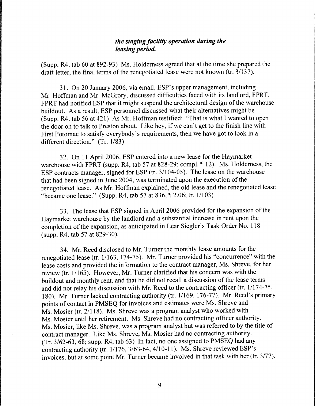# *the staging facility operation during the leasing period.*

(Supp. R4, tab 60 at 892-93) Ms. Holderness agreed that at the time she prepared the draft letter, the final terms of the renegotiated lease were not known (tr. 3/137).

31. On 20 January 2006, via email, ESP's upper management, including Mr. Hoffman and Mr. McGrory, discussed difficulties faced with its landlord, FPRT. FPRT had notified ESP that it might suspend the architectural design of the warehouse buildout. As a result, ESP personnel discussed what their alternatives might be. (Supp. R4, tab 56 at 421) As Mr. Hoffman testified: "That is what I wanted to open the door on to talk to Preston about. Like hey, if we can't get to the finish line with First Potomac to satisfy everybody's requirements, then we have got to look in a different direction." (Tr. 1/83)

32. On 11 April 2006, ESP entered into a new lease for the Haymarket warehouse with FPRT (supp. R4, tab 57 at 828-29; compl.  $\P$  12). Ms. Holderness, the ESP contracts manager, signed for ESP (tr. 3/104-05). The lease on the warehouse that had been signed in June 2004, was terminated upon the execution of the renegotiated lease. As Mr. Hoffman explained, the old lease and the renegotiated lease "became one lease." (Supp. R4, tab 57 at 836,  $\P$  2.06; tr. 1/103)

33. The lease that ESP signed in April 2006 provided for the expansion of the Haymarket warehouse by the landlord and a substantial increase in rent upon the completion of the expansion, as anticipated in Lear Siegler's Task Order No. 118 (supp. R4, tab 57 at 829-30).

34. Mr. Reed disclosed to Mr. Turner the monthly lease amounts for the renegotiated lease (tr. 1/163, 174-75). Mr. Turner provided his "concurrence" with the lease costs and provided the information to the contract manager, Ms. Shreve, for her review (tr. 1/165). However, Mr. Turner clarified that his concern was with the buildout and monthly rent, and that he did not recall a discussion of the lease terms and did not relay his discussion with Mr. Reed to the contracting officer (tr. 1/174-75, 180). Mr. Turner lacked contracting authority (tr. 1/169, 176-77). Mr. Reed's primary points of contact in PMSEQ for invoices and estimates were Ms. Shreve and Ms. Mosier (tr. 2/118). Ms. Shreve was a program analyst who worked with Ms. Mosier until her retirement. Ms. Shreve had no contracting officer authority. Ms. Mosier, like Ms. Shreve, was a program analyst but was referred to by the title of contract manager. Like Ms. Shreve, Ms. Mosier had no contracting authority. (Tr. 3/62-63, 68; supp. R4, tab 63) In fact, no one assigned to PMSEQ had any contracting authority (tr. 1/176, 3/63-64, 4/10-11). Ms. Shreve reviewed ESP's invoices, but at some point Mr. Turner became involved in that task with her (tr. 3/77).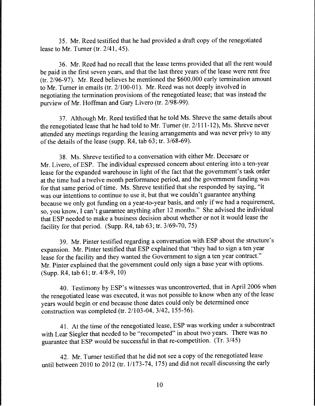35. Mr. Reed testified that he had provided a draft copy of the renegotiated lease to Mr. Turner (tr. 2/41, 45).

36. Mr. Reed had no recall that the lease terms provided that all the rent would be paid in the first seven years, and that the last three years of the lease were rent free (tr. 2/96-97). Mr. Reed believes he mentioned the \$600,000 early termination amount to Mr. Turner in emails (tr. 2/100-01). Mr. Reed was not deeply involved in negotiating the termination provisions of the renegotiated lease; that was instead the purview of Mr. Hoffman and Gary Livero (tr. 2/98-99).

37. Although Mr. Reed testified that he told Ms. Shreve the same details about the renegotiated lease that he had told to Mr. Turner (tr. 21111-12), Ms. Shreve never attended any meetings regarding the leasing arrangements and was never privy to any of the details of the lease (supp. R4, tab 63; tr. 3/68-69).

38. Ms. Shreve testified to a conversation with either Mr. Decesare or Mr. Livero, of ESP. The individual expressed concern about entering into a ten-year lease for the expanded warehouse in light of the fact that the government's task order at the time had a twelve month performance period, and the government funding was for that same period of time. Ms. Shreve testified that she responded by saying, "it was our intentions to continue to use it, but that we couldn't guarantee anything because we only got funding on a year-to-year basis, and only if we had a requirement, so, you know, I can't guarantee anything after 12 months." She advised the individual that ESP needed to make a business decision about whether or not it would lease the facility for that period. (Supp. R4, tab 63; tr. 3/69-70, 75)

39. Mr. Pinter testified regarding a conversation with ESP about the structure's expansion. Mr. Pinter testified that ESP explained that "they had to sign a ten year lease for the facility and they wanted the Government to sign a ten year contract." Mr. Pinter explained that the government could only sign a base year with options. (Supp. R4, tab 61; tr. 4/8-9, 10)

40. Testimony by ESP's witnesses was uncontroverted, that in April 2006 when the renegotiated lease was executed, it was not possible to know when any of the lease years would begin or end because those dates could only be determined once construction was completed (tr. 2/103-04, 3/42, 155-56).

41. At the time of the renegotiated lease, ESP was working under a subcontract with Lear Siegler that needed to be "recompeted" in about two years. There was no guarantee that ESP would be successful in that re-competition. (Tr. 3/45)

42. Mr. Turner testified that he did not see a copy of the renegotiated lease until between 2010 to 2012 (tr.  $1/173-74$ , 175) and did not recall discussing the early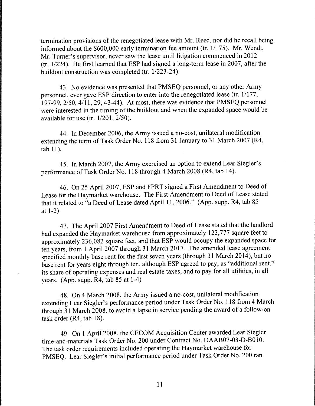termination provisions of the renegotiated lease with Mr. Reed, nor did he recall being informed about the  $$600,000$  early termination fee amount (tr.  $1/175$ ). Mr. Wendt, Mr. Turner's supervisor, never saw the lease until litigation commenced in 2012 (tr.  $1/224$ ). He first learned that ESP had signed a long-term lease in 2007, after the buildout construction was completed (tr.  $1/223-24$ ).

43. No evidence was presented that PMSEQ personnel, or any other Army personnel, ever gave ESP direction to enter into the renegotiated lease (tr. 1/177, 197-99,  $2/50$ ,  $4/11$ , 29, 43-44). At most, there was evidence that PMSEQ personnel were interested in the timing of the buildout and when the expanded space would be available for use (tr. 1/201, 2/50).

44. In December 2006, the Army issued a no-cost, unilateral modification extending the term of Task Order No. 118 from 31 January to 31 March 2007 (R4, tab 11).

45. In March 2007, the Army exercised an option to extend Lear Siegler's performance of Task Order No. 118 through 4 March 2008 (R4, tab 14).

46. On 25 April 2007, ESP and FPRT signed a First Amendment to Deed of Lease for the Haymarket warehouse. The First Amendment to Deed of Lease stated that it related to "a Deed of Lease dated April 11, 2006." (App. supp. R4, tab 85 at 1-2)

47. The April 2007 First Amendment to Deed of Lease stated that the landlord had expanded the Haymarket warehouse from approximately 123,777 square feet to approximately 236,082 square feet, and that ESP would occupy the expanded space for ten years, from 1 April 2007 through 31 March 2017. The amended lease agreement specified monthly base rent for the first seven years (through 31 March 2014), but no base rent for years eight through ten, although ESP agreed to pay, as "additional rent," its share of operating expenses and real estate taxes, and to pay for all utilities, in all years. (App. supp. R4, tab 85 at 1-4)

48. On 4 March 2008, the Army issued a no-cost, unilateral modification extending Lear Siegler's performance period under Task Order No. 118 from 4 March through 31 March 2008, to avoid a lapse in service pending the award of a follow-on task order (R4, tab 18).

49. On 1 April 2008, the CECOM Acquisition Center awarded Lear Siegler time-and-materials Task Order No. 200 under Contract No. DAAB07-03-D-B010. The task order requirements included operating the Haymarket warehouse for PMSEQ. Lear Siegler's initial performance period under Task Order No. 200 ran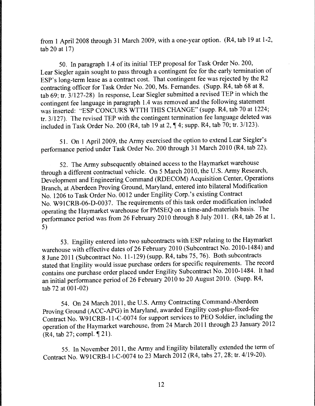from 1 April 2008 through 31 March 2009, with a one-year option. (R4, tab 19 at 1-2, tab 20 at 17)

50. In paragraph 1.4 of its initial TEP proposal for Task Order No. 200, Lear Siegler again sought to pass through a contingent fee for the early termination of ESP's long-term lease as a contract cost. That contingent fee was rejected by the R2 contracting officer for Task Order No. 200, Ms. Fernandes. (Supp. R4, tab 68 at 8, tab 69; tr. 31127-28) In response, Lear Siegler submitted a revised TEP in which the contingent fee language in paragraph 1.4 was removed and the following statement was inserted: "ESP CONCURS WTTH THIS CHANGE" (supp. R4, tab 70 at 1224; tr. 3/127). The revised TEP with the contingent termination fee language deleted was included in Task Order No. 200 (R4, tab 19 at 2,  $\P$  4; supp. R4, tab 70; tr. 3/123).

51. On 1 April 2009, the Army exercised the option to extend Lear Siegler's performance period under Task Order No. 200 through 31 March 2010 (R4, tab 22).

52. The Army subsequently obtained access to the Haymarket warehouse through a different contractual vehicle. On 5 March 2010, the U.S. Army Research, Development and Engineering Command (RDECOM) Acquisition Center, Operations Branch, at Aberdeen Proving Ground, Maryland, entered into bilateral Modification No. 1206 to Task Order No. 0012 under Engility Corp.'s existing Contract No. W91CRB-06-D-0037. The requirements of this task order modification included operating the Haymarket warehouse for PMSEQ on a time-and-materials basis. The performance period was from 26 February 2010 through 8 July 2011. (R4, tab 26 at 1, 5)

53. Engility entered into two subcontracts with ESP relating to the Haymarket warehouse with effective dates of 26 February 2010 (Subcontract No. 2010-1484) and 8 June 2011 (Subcontract No. 11-129) (supp. R4, tabs 75, 76). Both subcontracts stated that Engility would issue purchase orders for specific requirements. The record contains one purchase order placed under Engility Subcontract No. 2010-1484. It had an initial performance period of 26 February 2010 to 20 August 2010. (Supp. R4, tab 72 at 001-02)

54. On 24 March 2011, the U.S. Army Contracting Command-Aberdeen Proving Ground (ACC-APG) in Maryland, awarded Engility cost-plus-fixed-fee Contract No. W91CRB-11-C-0074 for support services to PEO Soldier, including the operation of the Haymarket warehouse, from 24 March 2011 through 23 January 2012  $(R4, tab 27; compl. \$  21).

55. In November 2011, the Army and Engility bilaterally extended the term of Contract No. W91CRB-l l-C-0074 to 23 March 2012 (R4, tabs 27, 28; tr. 4119-20).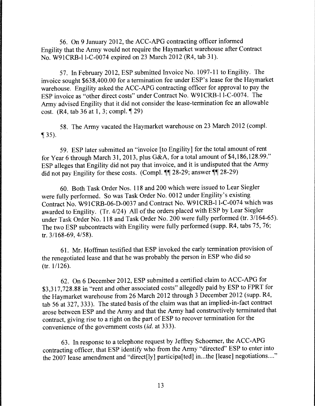56. On 9 January 2012, the ACC-APG contracting officer informed Engility that the Army would not require the Haymarket warehouse after Contract No. W91CRB-l l-C-0074 expired on 23 March 2012 (R4, tab 31).

57. In February 2012, ESP submitted Invoice No. 1097-11 to Engility. The invoice sought \$638,400.00 for a termination fee under ESP's lease for the Haymarket warehouse. Engility asked the ACC-APG contracting officer for approval to pay the ESP invoice as "other direct costs" under Contract No. W91CRB-l l-C-0074. The Army advised Engility that it did not consider the lease-termination fee an allowable cost. (R4, tab  $36$  at 1, 3; compl.  $\sqrt{29}$ )

58. The Army vacated the Haymarket warehouse on 23 March 2012 (compl.  $\P$  35).

59. ESP later submitted an "invoice [to Engility] for the total amount of rent for Year 6 through March 31, 2013, plus G&A, for a total amount of \$4,186,128.99." ESP alleges that Engility did not pay that invoice, and it is undisputed that the Army did not pay Engility for these costs. (Compl.  $\P\P$  28-29; answer  $\P\P$  28-29)

60. Both Task Order Nos. 118 and 200 which were issued to Lear Siegler were fully performed. So was Task Order No. 0012 under Engility's existing Contract No. W91CRB-06-D-0037 and Contract No. W91CRB-l l-C-0074 which was awarded to Engility. (Tr. 4/24) All of the orders placed with ESP by Lear Siegler under Task Order No. 118 and Task Order No. 200 were fully performed (tr. 3/164-65). The two ESP subcontracts with Engility were fully performed (supp. R4, tabs 75, 76; tr. 3/168-69, 4/58).

61. Mr. Hoffman testified that ESP invoked the early termination provision of the renegotiated lease and that he was probably the person in ESP who did so (tr. 1/126).

62. On 6 December 2012, ESP submitted a certified claim to ACC-APG for \$3,317,728.88 in "rent and other associated costs" allegedly paid by ESP to FPRT for the Haymarket warehouse from 26 March 2012 through 3 December 2012 (supp. R4, tab 56 at 327, 333). The stated basis of the claim was that an implied-in-fact contract arose between ESP and the Army and that the Army had constructively terminated that contract, giving rise to a right on the part of ESP to recover termination for the convenience of the government costs *(id.* at 333).

63. In response to a telephone request by Jeffrey Schoemer, the ACC-APG contracting officer, that ESP identify who from the Army "directed" ESP to enter into the 2007 lease amendment and "direct[ly] participa[ted] in...the [lease] negotiations...."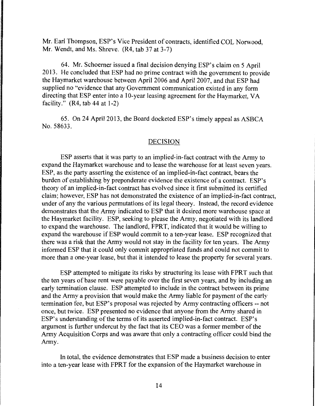Mr. Earl Thompson, ESP's Vice President of contracts, identified COL Norwood, Mr. Wendt, and Ms. Shreve. (R4, tab 37 at 3-7)

64. Mr. Schoemer issued a final decision denying ESP's claim on 5 April 2013. He concluded that ESP had no prime contract with the government to provide the Haymarket warehouse between April 2006 and April 2007, and that ESP had supplied no "evidence that any Government communication existed in any form directing that ESP enter into a 10-year leasing agreement for the Haymarket, VA facility."  $(R4, tab 44 at 1-2)$ 

65. On 24 April 2013, the Board docketed ESP's timely appeal as ASBCA No. 58633.

#### DECISION

ESP asserts that it was party to an implied-in-fact contract with the Army to expand the Haymarket warehouse and to lease the warehouse for at least seven years. ESP, as the party asserting the existence of an implied-in-fact contract, bears the burden of establishing by preponderate evidence the existence of a contract. ESP's theory of an implied-in-fact contract has evolved since it first submitted its certified claim; however, ESP has not demonstrated the existence of an implied-in-fact contract, under of any the various permutations of its legal theory. Instead, the record evidence demonstrates that the Army indicated to ESP that it desired more warehouse space at the Haymarket facility. ESP, seeking to please the Army, negotiated with its landlord to expand the warehouse. The landlord, FPRT, indicated that it would be willing to expand the warehouse if ESP would commit to a ten-year lease. ESP recognized that there was a risk that the Army would not stay in the facility for ten years. The Army informed ESP that it could only commit appropriated funds and could not commit to more than a one-year lease, but that it intended to lease the property for several years.

ESP attempted to mitigate its risks by structuring its lease with FPRT such that the ten years of base rent were payable over the first seven years, and by including an early termination clause. ESP attempted to include in the contract between its prime and the Army a provision that would make the Army liable for payment of the early termination fee, but ESP's proposal was rejected by Army contracting officers -- not once, but twice. ESP presented no evidence that anyone from the Army shared in ESP's understanding of the terms of its asserted implied-in-fact contract. ESP's argument is further undercut by the fact that its CEO was a former member of the Army Acquisition Corps and was aware that only a contracting officer could bind the Army.

In total, the evidence demonstrates that ESP made a business decision to enter into a ten-year lease with FPRT for the expansion of the Haymarket warehouse in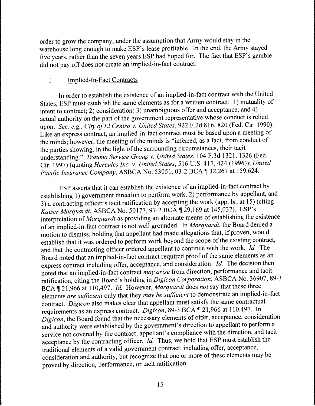order to grow the company, under the assumption that Army would stay in the warehouse long enough to make ESP's lease profitable. In the end, the Army stayed five years, rather than the seven years ESP had hoped for. The fact that ESP's gamble did not pay off does not create an implied-in-fact contract.

# I. Implied-In-Fact Contracts

In order to establish the existence of an implied-in-fact contract with the United States, ESP must establish the same elements as for a written contract: 1) mutuality of intent to contract; 2) consideration; 3) unambiguous offer and acceptance; and 4) actual authority on the part of the government representative whose conduct is relied upon. *See, e.g., City of El Centro v. United States,* 922 F .2d 816, 820 (Fed. Cir. 1990). Like an express contract, an implied-in-fact contract must be based upon a meeting of the minds; however, the meeting of the minds is "inferred, as a fact, from conduct of the parties showing, in the light of the surrounding circumstances, their tacit understanding." *Trauma Service Group v. United States,* 104 F .3d 1321, 1326 (Fed. Cir. 1997) (quoting *Hercules Inc. v. United States,* 516 U.S. 417, 424 (1996)); *United Pacific Insurance Company, ASBCA No.* 53051, 03-2 BCA 132,267 at 159,624.

ESP asserts that it can establish the existence of an implied-in-fact contract by establishing 1) government direction to perform work, 2) performance by appellant, and 3) a contracting officer's tacit ratification by accepting the work (app. br. at 15) (citing *Kaiser Marquardt, ASBCA No. 50177, 97-2 BCA*  $\sqrt{29,169}$  at 145,037). ESP's interpretation of *Marquardt* as providing an alternate means of establishing the existence of an implied-in-fact contract is not well grounded. In *Marquardt,* the Board denied a motion to dismiss, holding that appellant had made allegations that, if proven, would establish that it was ordered to perform work beyond the scope of the existing contract, and that the contracting officer ordered appellant to continue with the work. *Id.* The Board noted that an implied-in-fact contract required proof of the same elements as an express contract including offer, acceptance, and consideration. *Id.* The decision then noted that an implied-in-fact contract *may arise* from direction, performance and tacit ratification, citing the Board's holding in *Digicon Corporation,* ASBCA No. 36907, 89-3 BCA 121,966 at 110,497. *Id.* However, *Marquardt* does *not* say that these three elements *are sufficient* only that they *may be sufficient* to demonstrate an implied-in-fact contract. *Digicon* also makes clear that appellant must satisfy the same contractual requirements as an express contract. *Digicon*, 89-3 BCA 121,966 at 110,497. In *Digicon,* the Board found that the necessary elements of offer, acceptance, consideration and authority were established by the government's direction to appellant to perform a service not covered by the contract, appellant's compliance with the direction, and tacit acceptance by the contracting officer. *Id.* Thus, we hold that ESP must establish the traditional elements of a valid government contract, including offer, acceptance, consideration and authority, but recognize that one or more of these elements may be proved by direction, performance, or tacit ratification.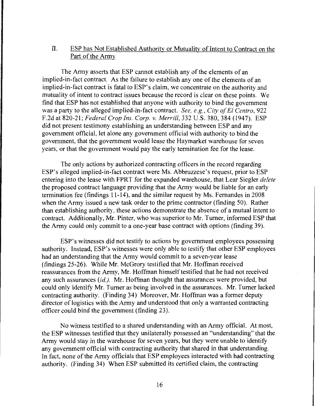# II. ESP has Not Established Authority or Mutuality of Intent to Contract on the Part of the Army

The Army asserts that ESP cannot establish any of the elements of an implied-in-fact contract. As the failure to establish any one of the elements of an implied-in-fact contract is fatal to ESP's claim, we concentrate on the authority and mutuality of intent to contract issues because the record is clear on these points. We find that ESP has not established that anyone with authority to bind the government was a party to the alleged implied-in-fact contract. *See, e.g., City of El Centro,* 922 F.2d at 820-21; *Federal Crop Ins. Corp. v. Merrill,* 332 U.S. 380, 384 (1947). ESP did not present testimony establishing an understanding between ESP and any government official, let alone any government official with authority to bind the government, that the government would lease the Haymarket warehouse for seven years, or that the government would pay the early termination fee for the lease.

The only actions by authorized contracting officers in the record regarding ESP's alleged implied-in-fact contract were Ms. Abbruzzese's request, prior to ESP entering into the lease with FPRT for the expanded warehouse, that Lear Siegler *delete*  the proposed contract language providing that the Army would be liable for an early termination fee (findings 11-14 ), and the similar request by Ms. Fernandes in 2008 when the Army issued a new task order to the prime contractor (finding 50). Rather than establishing authority, these actions demonstrate the absence of a mutual intent to contract. Additionally, Mr. Pinter, who was superior to Mr. Turner, informed ESP that the Army could only commit to a one-year base contract with options (finding 39).

ESP's witnesses did not testify to actions by government employees possessing authority. Instead, ESP's witnesses were only able to testify that other ESP employees had an understanding that the Army would commit to a seven-year lease (findings 25-26). While Mr. McGrory testified that Mr. Hoffman received reassurances from the Army, Mr. Hoffman himself testified that he had not received any such assurances *(id.).* Mr. Hoffman thought that assurances were provided, but could only identify Mr. Turner as being involved in the assurances. Mr. Turner lacked contracting authority. (Finding 34) Moreover, Mr. Hoffman was a former deputy director of logistics with the Army and understood that only a warranted contracting officer could bind the government (finding 23).

No witness testified to a shared understanding with an Army official. At most, the ESP witnesses testified that they unilaterally possessed an "understanding" that the Army would stay in the warehouse for seven years, but they were unable to identify any government official with contracting authority that shared in that understanding. In fact, none of the Army officials that ESP employees interacted with had contracting authority. (Finding 34) When ESP submitted its certified claim, the contracting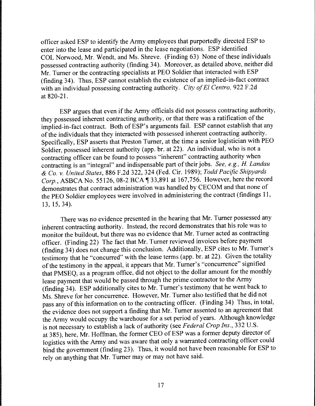officer asked ESP to identify the Army employees that purportedly directed ESP to enter into the lease and participated in the lease negotiations. ESP identified COL Norwood, Mr. Wendt, and Ms. Shreve. (Finding 63) None of these individuals possessed contracting authority (finding 34). Moreover, as detailed above, neither did Mr. Turner or the contracting specialists at PEO Soldier that interacted with ESP (finding 34). Thus, ESP cannot establish the existence of an implied-in-fact contract with an individual possessing contracting authority. *City of El Centro*, 922 F.2d at 820-21.

ESP argues that even if the Army officials did not possess contracting authority, they possessed inherent contracting authority, or that there was a ratification of the implied-in-fact contract. Both of ESP's arguments fail. ESP cannot establish that any of the individuals that they interacted with possessed inherent contracting authority. Specifically, ESP asserts that Preston Turner, at the time a senior logistician with PEO Soldier, possessed inherent authority (app. br. at 22). An individual, who is not a contracting officer can be found to possess "inherent" contracting authority when contracting is an "integral" and indispensable part of their jobs. *See, e.g., H. Landau*  & *Co.* v. *United States,* 886 F.2d 322, 324 (Fed. Cir. 1989); *Todd Pacific Shipyards Corp.*, ASBCA No. 55126, 08-2 BCA  $\sqrt{ }$  33,891 at 167,756. However, here the record demonstrates that contract administration was handled by CECOM and that none of the PEO Soldier employees were involved in administering the contract (findings 11, 13, 15, 34).

There was no evidence presented in the hearing that Mr. Turner possessed any inherent contracting authority. Instead, the record demonstrates that his role was to monitor the buildout, but there was no evidence that Mr. Turner acted as contracting officer. (Finding 22) The fact that Mr. Turner reviewed invoices before payment (finding 34) does not change this conclusion. Additionally, ESP cites to Mr. Turner's testimony that he "concurred" with the lease terms (app. br. at 22). Given the totality of the testimony in the appeal, it appears that Mr. Turner's "concurrence" signified that PMSEQ, as a program office, did not object to the dollar amount for the monthly lease payment that would be passed through the prime contractor to the Army (finding 34). ESP additionally cites to Mr. Turner's testimony that he went back to Ms. Shreve for her concurrence. However, Mr. Turner also testified that he did not pass any of this information on to the contracting officer. (Finding 34) Thus, in total, the evidence does not support a finding that Mr. Turner assented to an agreement that the Army would occupy the warehouse for a set period of years. Although knowledge is not necessary to establish a lack of authority (see *Federal Crop Ins.,* 332 U.S. at 3 85), here, Mr. Hoffman, the former CEO of ESP was a former deputy director of logistics with the Army and was aware that only a warranted contracting officer could bind the government (finding 23). Thus, it would not have been reasonable for ESP to rely on anything that Mr. Turner may or may not have said.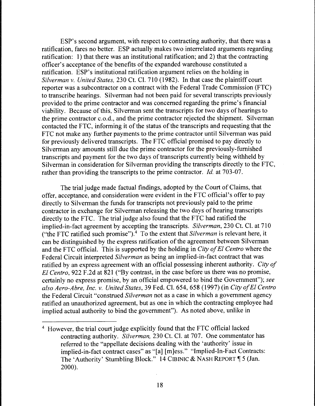ESP's second argument, with respect to contracting authority, that there was a ratification, fares no better. ESP actually makes two interrelated arguments regarding ratification: 1) that there was an institutional ratification; and 2) that the contracting officer's acceptance of the benefits of the expanded warehouse constituted a ratification. ESP's institutional ratification argument relies on the holding in *Silverman v. United States,* 230 Ct. Cl. 710 ( 1982). In that case the plaintiff court reporter was a subcontractor on a contract with the Federal Trade Commission (FTC) to transcribe hearings. Silverman had not been paid for several transcripts previously provided to the prime contractor and was concerned regarding the prime's financial viability. Because of this, Silverman sent the transcripts for two days of hearings to the prime contractor c.o.d., and the prime contractor rejected the shipment. Silverman contacted the FTC, informing it of the status of the transcripts and requesting that the FTC not make any further payments to the prime contractor until Silverman was paid for previously delivered transcripts. The FTC official promised to pay directly to Silverman any amounts still due the prime contractor for the previously-furnished transcripts and payment for the two days of transcripts currently being withheld by Silverman in consideration for Silverman providing the transcripts directly to the FTC, rather than providing the transcripts to the prime contractor. *Id.* at 703-07.

The trial judge made factual findings, adopted by the Court of Claims, that offer, acceptance, and consideration were evident in the FTC official's offer to pay directly to Silverman the funds for transcripts not previously paid to the prime contractor in exchange for Silverman releasing the two days of hearing transcripts directly to the FTC. The trial judge also found that the FTC had ratified the implied-in-fact agreement by accepting the transcripts. *Silverman,* 230 Ct. Cl. at 710 ("the FTC ratified such promise").4 To the extent that *Silverman* is relevant here, it can be distinguished by the express ratification of the agreement between Silverman and the FTC official. This is supported by the holding in *City of El Centro* where the Federal Circuit interpreted *Silverman* as being an implied-in-fact contract that was ratified by an express agreement with an official possessing inherent authority. *City of El Centro*, 922 F.2d at 821 ("By contrast, in the case before us there was no promise, certainly no express promise, by an official empowered to bind the Government"); *see also Aero-Abre, Inc. v. United States,* 39 Fed. Cl. 654, 658 (1997) (in *City of El Centro*  the Federal Circuit "construed *Silverman* not as a case in which a government agency ratified an unauthorized agreement, but as one in which the contracting employee had implied actual authority to bind the government"). As noted above, unlike in

<sup>4</sup> However, the trial court judge explicitly found that the FTC official lacked contracting authority. *Silverman,* 230 Ct. Cl. at 707. One commentator has referred to the "appellate decisions dealing with the 'authority' issue in implied-in-fact contract cases" as "[a] [m]ess." "Implied-In-Fact Contracts: The 'Authority' Stumbling Block." 14 CIBINIC & NASH REPORT | 5 (Jan. 2000).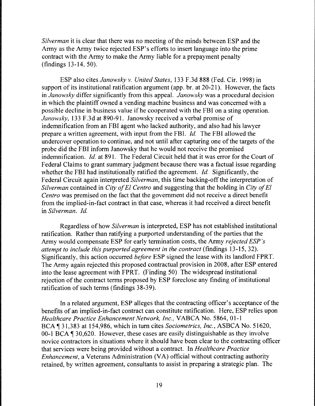*Silverman* it is clear that there was no meeting of the minds between ESP and the Army as the Army twice rejected ESP's efforts to insert language into the prime contract with the Army to make the Army liable for a prepayment penalty (findings 13-14, 50).

ESP also cites *Janowsky v. United States,* 133 F.3d 888 (Fed. Cir. 1998) in support of its institutional ratification argument (app. br. at 20-21). However, the facts in *Janowsky* differ significantly from this appeal. *Janowsky* was a procedural decision in which the plaintiff owned a vending machine business and was concerned with a possible decline in business value if he cooperated with the FBI on a sting operation. *Janowsky,* 133 F.3d at 890-91. Janowsky received a verbal promise of indemnification from an FBI agent who lacked authority, and also had his lawyer prepare a written agreement, with input from the FBI. *Id.* The FBI allowed the undercover operation to continue, and not until after capturing one of the targets of the probe did the FBI inform Janowsky that he would not receive the promised indemnification. *Id.* at 891. The Federal Circuit held that it was error for the Court of Federal Claims to grant summary judgment because there was a factual issue regarding whether the FBI had institutionally ratified the agreement. *Id.* Significantly, the Federal Circuit again interpreted *Silverman,* this time backing-off the interpretation of *Silverman* contained in *City of El Centro* and suggesting that the holding in *City of El Centro* was premised on the fact that the government did not receive a direct benefit from the implied-in-fact contract in that case, whereas it had received a direct benefit in *Silverman. Id.* 

Regardless of how *Silverman* is interpreted, ESP has not established institutional ratification. Rather than ratifying a purported understanding of the parties that the Army would compensate ESP for early termination costs, the Army *rejected ESP 's attempt to include this purported agreement in the contract* (findings 13-15, 32). Significantly, this action occurred *before* ESP signed the lease with its landlord FPRT. The Army again rejected this proposed contractual provision in 2008, after ESP entered into the lease agreement with FPRT. (Finding 50) The widespread institutional rejection of the contract terms proposed by ESP foreclose any finding of institutional ratification of such terms (findings 38-39).

In a related argument, ESP alleges that the contracting officer's acceptance of the benefits of an implied-in-fact contract can constitute ratification. Here, ESP relies upon *Healthcare Practice Enhancement Network, Inc.,* VABCA No. 5864, 01-1 BCA ¶ 31,383 at 154,986, which in turn cites *Sociometrics, Inc.*, ASBCA No. 51620, 00-1 BCA  $\parallel$  30,620. However, these cases are easily distinguishable as they involve novice contractors in situations where it should have been clear to the contracting officer that services were being provided without a contract. In *Healthcare Practice Enhancement,* a Veterans Administration (VA) official without contracting authority retained, by written agreement, consultants to assist in preparing a strategic plan. The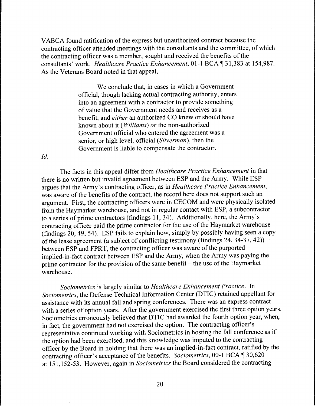VABCA found ratification of the express but unauthorized contract because the contracting officer attended meetings with the consultants and the committee, of which the contracting officer was a member, sought and received the benefits of the consultants' work. *Healthcare Practice Enhancement*, 01-1 BCA ¶ 31,383 at 154,987. As the Veterans Board noted in that appeal,

> We conclude that, in cases in which a Government official, though lacking actual contracting authority, enters into an agreement with a contractor to provide something of value that the Government needs and receives as a benefit, and *either* an authorized CO knew or should have known about it *(Williams) or* the non-authorized Government official who entered the agreement was a senior, or high level, official *(Silverman),* then the Government is liable to compensate the contractor.

*Id.* 

The facts in this appeal differ from *Healthcare Practice Enhancement* in that there is no written but invalid agreement between ESP and the Army. While ESP argues that the Army's contracting officer, as in *Healthcare Practice Enhancement,*  was aware of the benefits of the contract, the record here does not support such an argument. First, the contracting officers were in CECOM and were physically isolated from the Haymarket warehouse, and not in regular contact with ESP, a subcontractor to a series of prime contractors (findings 11, 34). Additionally, here, the Army's contracting officer paid the prime contractor for the use of the Haymarket warehouse (findings 20, 49, 54). ESP fails to explain how, simply by possibly having seen a copy of the lease agreement (a subject of conflicting testimony (findings 24, 34-37, 42)) between ESP and FPRT, the contracting officer was aware of the purported implied-in-fact contract between ESP and the Army, when the Army was paying the prime contractor for the provision of the same benefit - the use of the Haymarket warehouse.

*Sociometrics* is largely similar to *Healthcare Enhancement Practice.* In *Sociometrics,* the Defense Technical Information Center (DTIC) retained appellant for assistance with its annual fall and spring conferences. There was an express contract with a series of option years. After the government exercised the first three option years, Sociometrics erroneously believed that DTIC had awarded the fourth option year, when, in fact, the government had not exercised the option. The contracting officer's representative continued working with Sociometrics in hosting the fall conference as if the option had been exercised, and this knowledge was imputed to the contracting officer by the Board in holding that there was an implied-in-fact contract, ratified by the contracting officer's acceptance of the benefits. *Sociometrics*, 00-1 BCA  $\P$  30,620 at 151, 152-53. However, again in *Sociometrics* the Board considered the contracting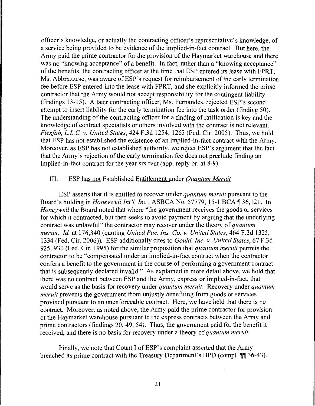officer's knowledge, or actually the contracting officer's representative's knowledge, of a service being provided to be evidence of the implied-in-fact contract. But here, the Army paid the prime contractor for the provision of the Haymarket warehouse and there was no "knowing acceptance" of a benefit. In fact, rather than a "knowing acceptance" of the benefits, the contracting officer at the time that ESP entered its lease with FPRT, Ms. Abbruzzese, was aware of ESP's request for reimbursement of the early termination fee before ESP entered into the lease with FPRT, and she explicitly informed the prime contractor that the Army would not accept responsibility for the contingent liability (findings 13-15). A later contracting officer, Ms. Fernandes, rejected ESP's second attempt to insert liability for the early termination fee into the task order (finding 50). The understanding of the contracting officer for a finding of ratification is key and the knowledge of contract specialists or others involved with the contract is not relevant. *Flex/ab,* L.L.C. *v. United States,* 424 F.3d 1254, 1263 (Fed. Cir. 2005). Thus, we hold that ESP has not established the existence of an implied-in-fact contract with the Army. Moreover, as ESP has not established authority, we reject ESP's argument that the fact that the Army's rejection of the early termination fee does not preclude finding an implied-in-fact contract for the year six rent (app. reply br. at 8-9).

# III. ESP has not Established Entitlement under *Quantum Meruit*

ESP asserts that it is entitled to recover under *quantum meruit* pursuant to the Board's holding in *Honeywell Int'l, Inc.*, ASBCA No. 57779, 15-1 BCA ¶ 36,121. In *Honeywell* the Board noted that where "the government receives the goods or services" for which it contracted, but then seeks to avoid payment by arguing that the underlying contract was unlawful" the contractor may recover under the theory of *quantum meruit. Id.* at 176,340 (quoting *United Pac. Ins. Co. v. United States,* 464 F.3d 1325, 1334 (Fed. Cir. 2006)). ESP additionally cites to *Gould, Inc. v. United States,* 67 F.3d 925, 930 (Fed. Cir. 1995) for the similar proposition that *quantum meruit* permits the contractor to be "compensated under an implied-in-fact contract when the contractor confers a benefit to the government in the course of performing a government contract that is subsequently declared invalid." As explained in more detail above, we hold that there was no contract between ESP and the Army, express or implied-in-fact, that would serve as the basis for recovery under *quantum meruit.* Recovery under *quantum meruit* prevents the government from unjustly benefiting from goods or services provided pursuant to an unenforceable contract. Here, we have held that there is no contract. Moreover, as noted above, the Army paid the prime contractor for provision of the Haymarket warehouse pursuant to the express contracts between the Army and prime contractors (findings 20, 49, 54). Thus, the government paid for the benefit it received, and there is no basis for recovery under a theory of *quantum meruit.* 

Finally, we note that Count I of ESP's complaint asserted that the Army breached its prime contract with the Treasury Department's BPD (compl.  $\P$  36-43).